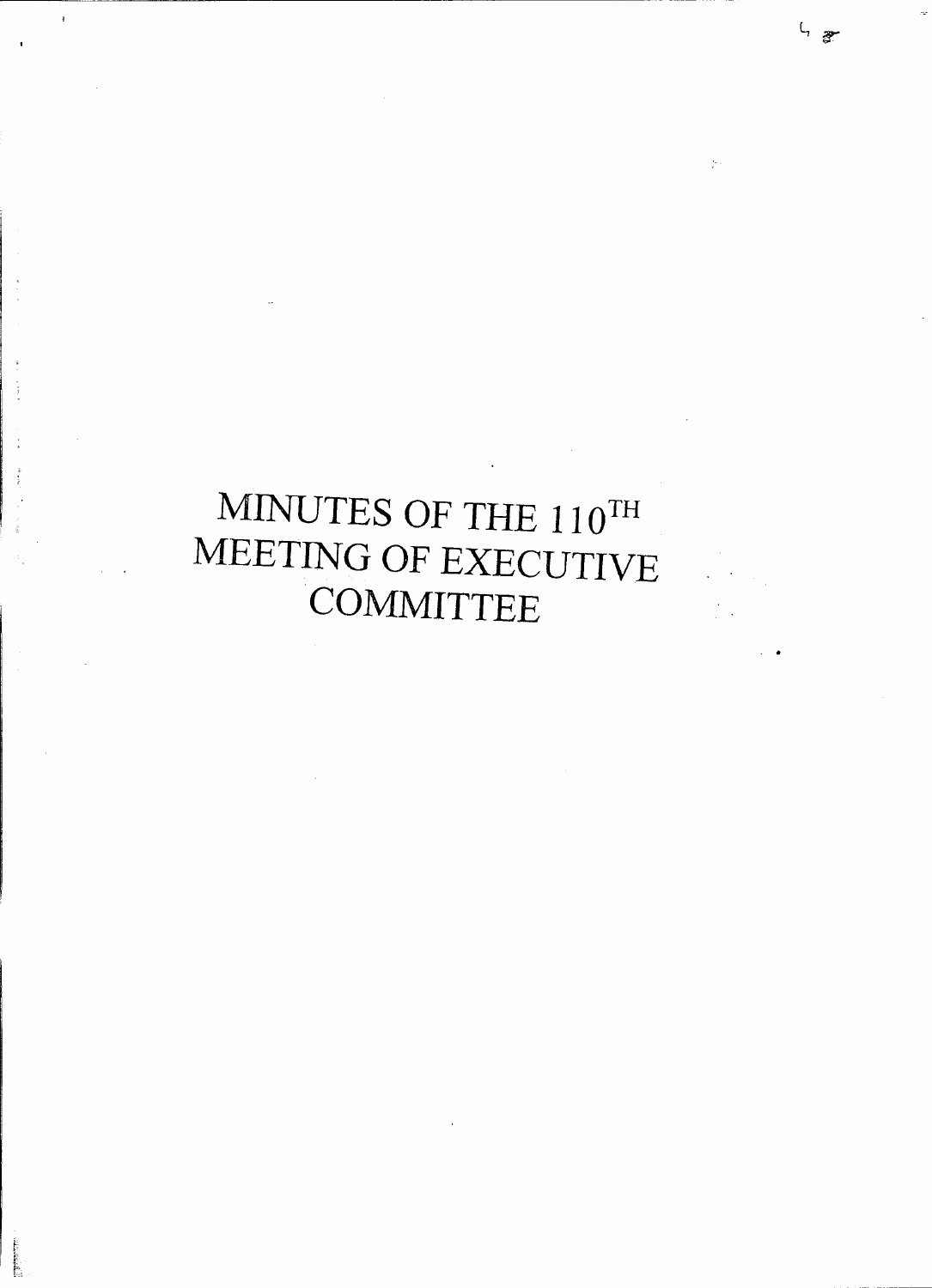# MINUTES OF THE  $110^{\mathrm{TH}}$ MEETING OF EXECUTIVE **COMMITTEE**

i ==

i<br>F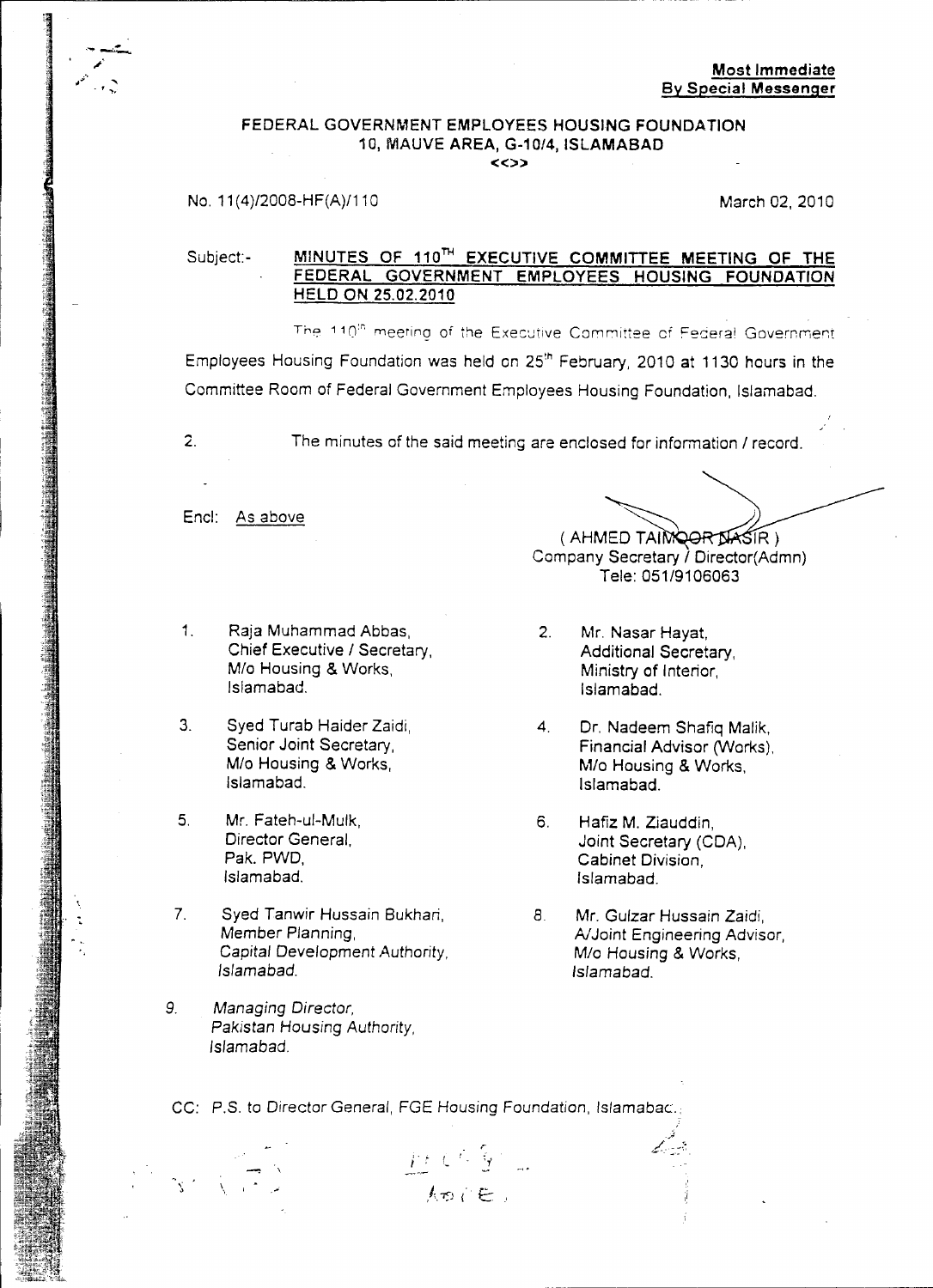#### FEDERAL GOVERNMENT EMPLOYEES HOUSING FOUNDATION 10. MAUVE AREA, G-10/4, ISLAMABAD  $\langle \langle \rangle \rangle$

#### No. 11(4)/2008-HF(A)/110 Mo. 11(4)/2008-HF(A)/110

#### Subject:- MINUTES OF 110<sup>TH</sup> EXECUTIVE COMMITTEE MEETING OF THE FEDERAL GOVERNMENT EMPLOYEES HOUSING FOUNDATION HELD ON 25.02.2010

The 110<sup>th</sup> meetino of the Executive Committee of Federal Governmer Employees Housing Foundation was held on 25'h February, 2010 at 1130 hours in the Committee Room of Federal Government Employees Housing Foundation, Islamabad.

2. The minutes of the said meeting are enclosed for information *I* record.

Encl: As above

- 1. Raja Muhammad Abbas, 2. Mr. Nasar Hayat, Chief Executive / Secretary, and a **Additional Secretary**, M/o Housing & Works, Ministry of Interior, Ministry of Interior, Islamabad.
- 3. Syed Turab Haider Zaidi, 1988 4. Dr. Nadeem Shafiq Malik, Senior Joint Secretary, 1988 4. Einancial Advisor (Works). Islamabad. Islamabad.
- 5. Mr. Fateh-ul-Mulk, 6. Hafiz M. Ziauddin, Director General. 6. Hafiz M. Ziauddin, Islamabad. Islamabad.

:<br>:<br>:

- 7. Syed Tanwir Hussain Bukhari, 8. Mr. Gulzar Hussain Zaidi,<br>19. Member Planning, 8. Member Planning, 8. Member Planning, 8. Member Planning, 8. Member 2016 *Capital* Development Authority, *MIa* Housing & Works, *Islamabad. Islamabad.*
- 9. *Managing Director,* Pakistan Housing Authority, Islamabad.

\ ;

~ (AHMED TAIMQORDASIR Company Secretary *I* Director(Admn) Tele: *051/9106063*

- Islamabad. Islamabad.
- Senior Joint Secretary, Einancial Advisor (Works),<br>
M/o Housing & Works, M/o Housing & Works. Mlo Housing & Works, *MIa* Housing & Works,
- Director General, The Communication of the Unit Secretary (CDA), Pak, PWD, The Cabinet Division Cabinet Division,
	- A/Joint Engineering Advisor,

CC: P.S. to Director General, FGE Housing Foundation, Islamabac.,

 $\frac{\mu(C\mathcal{L})}{\hbar o(E)}$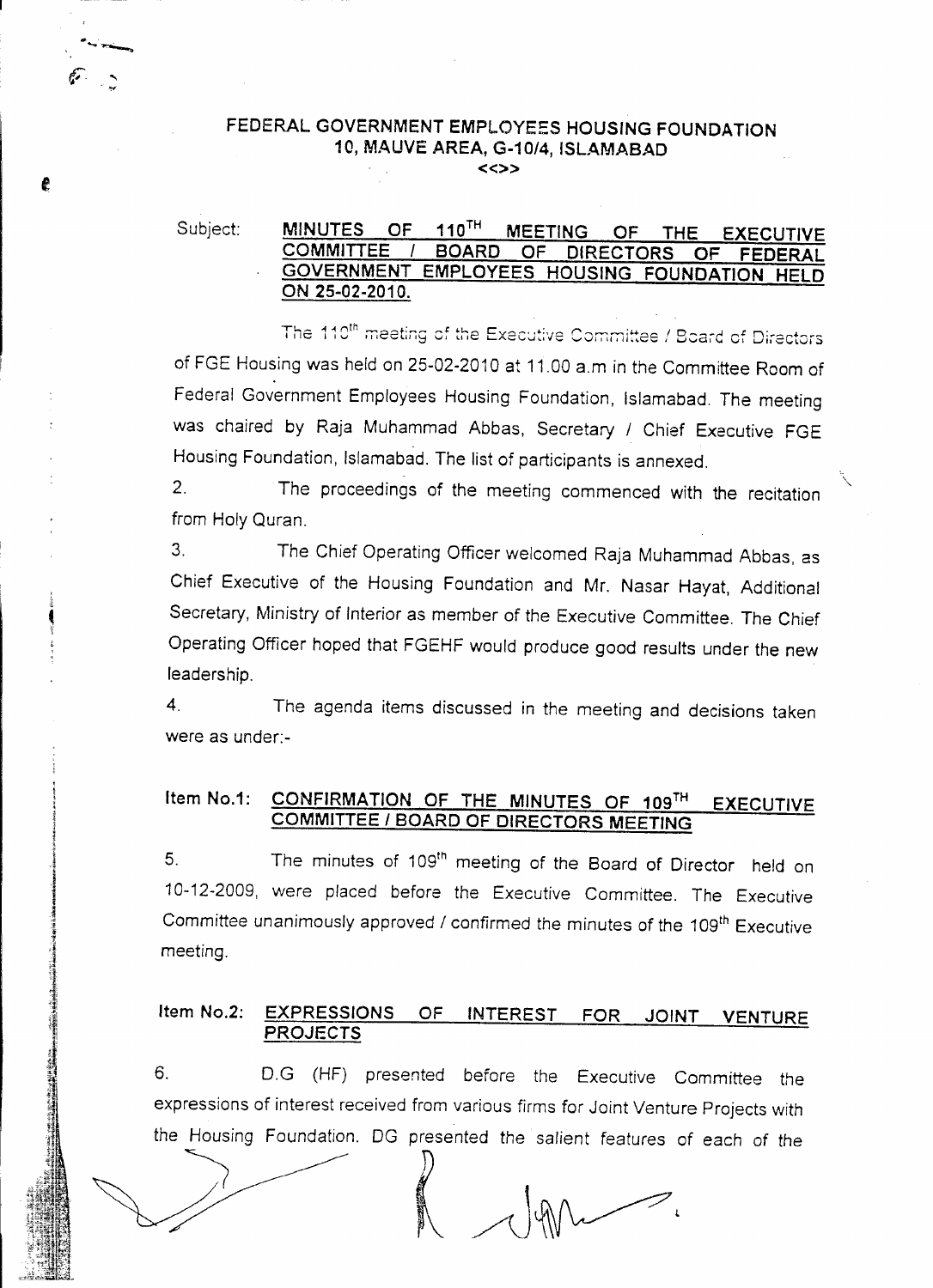#### FEDERAL GOVERNMENT EMPLOYEES HOUSING FOUNDATION 10, MAUVE AREA, G-10/4, ISLAMABAD «»

#### Subject: MINUTES OF 110<sup>TH</sup> MEETING OF THE EXECUTIVE<br>COMMITTEE / BOARD OF DIRECTORS OF FEDERAL OF DIRECTORS OF FEDERAL GOVERNMENT EMPLOYEES HOUSING FOUNDATION HELD ON 25-02-2010.

The 110<sup>th</sup> meeting of the Executive Committee / Board of Directors of FGE Housing was held on 25-02-2010 at 11.00 a.m in the Committee Room of Federal Government Employees Housing Foundation, Islamabad. The meeting was chaired by Raja Muhammad Abbas, Secretary *1* Chief Executive FGE Housing Foundation, Islamabad. The list of participants is annexed.

2. The proceedings of the meeting commenced with the recitation from Holy Quran.

3. The Chief Operating Officer welcomed Raja Muhammad Abbas, as Chief Executive of the Housing Foundation and Mr. Nasar Hayat, Additional Secretary, Ministry of Interior as member of the Executive Committee. The Chief Operating Officer hoped that FGEHF would produce good results under the new leadership.

4. The agenda items discussed in the meeting and decisions taken were as under:-

#### Item No.1: CONFIRMATION OF THE MINUTES OF 109TH EXECUTIVE COMMITTEE *I* BOARD OF DIRECTORS MEETING

5. The minutes of 109<sup>th</sup> meeting of the Board of Director held on 10-12-2009, were placed before the Executive Committee. The Executive Committee unanimously approved / confirmed the minutes of the 109<sup>th</sup> Executive meeting.

#### Item No.2: EXPRESSIONS OF INTEREST FOR JOINT VENTURE **PROJECTS**

expressions of interest received from various firms for Joint Venture Projects with the Housing Foundation. DG presented the salient features of each of the expressions of interest received from various firms for Jointhe Housing Foundation. DG presented the salient fe 6. D.G (HF) presented before the Executive Committee the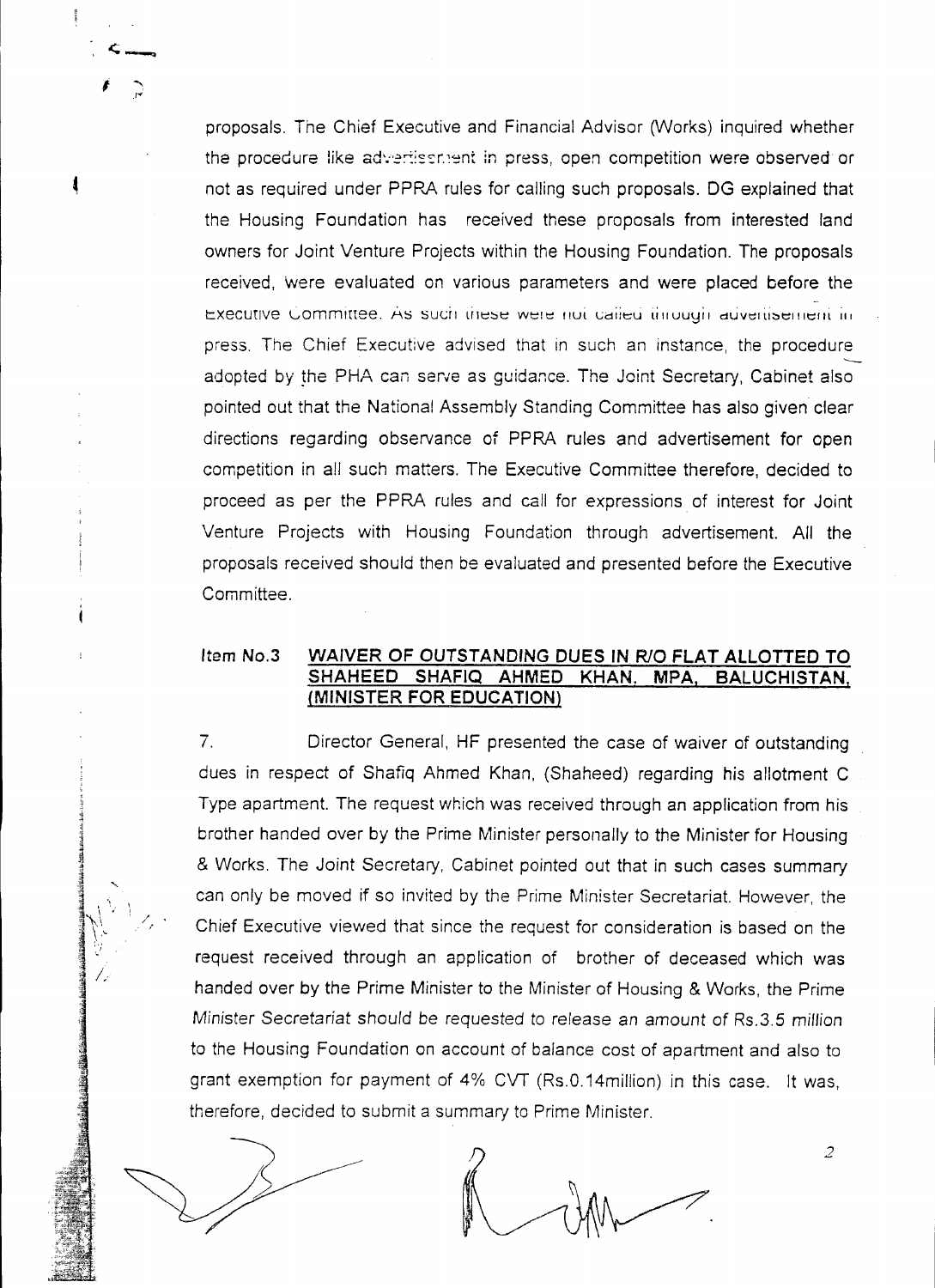proposals. The Chief Executive and Financial Advisor (Works) inquired whether the procedure like advertissment in press, open competition were observed or not as required under PPRA rules for calling such proposals. DG explained that the Housing Foundation has received these proposals from interested land owners for Joint Venture Projects within the Housing Foundation. The proposals received, were evaluated on various parameters and were placed before the Executive Committee. As such these were not called through advertisement in press. The Chief Executive advised that in such an instance, the procedure  $\overline{-}$ adopted by the PHA can serve as guidance. The Joint Secretary, Cabinet also pointed out that the National Assembly Standing Committee has also given clear directions regarding observance of PPRA rules and advertisement for open competition in all such matters. The Executive Committee therefore, decided to proceed as per the PPRA rules and call for expressions of interest for Joint Venture Projects with Housing Foundation through advertisement. All the proposals received should then be evaluated and presented before the Executive Committee.

#### Item NO.3 **WAIVER OF OUTSTANDING DUES IN RIO FLAT ALLOTTED TO SHAHEED SHAFIQ AHMED KHAN. MPA, BALUCHISTAN, (MINISTER FOR EDUCATION)**

7. Director General, HF presented the case of waiver of outstanding dues in respect of Shafiq Ahmed Khan, (Shaheed) regarding his allotment C Type apartment. The request which was received through an application from his brother handed over by the Prime Minister personally to the Minister for Housing & Works. The Joint Secretary, Cabinet pointed out that in such cases summary can only be moved if so invited by the Prime Minister Secretariat. However, the Chief Executive viewed that since the request for consideration is based on the request received through an application of brother of deceased which was handed over by the Prime Minister to the Minister of Housing & Works, the Prime Minister *Secretariat* should be requested to release an amount of Rs.3.5 *million* to the Housing Foundation on account of balance cost of apartment and also to grant exemption for payment of 4% CVT (Rs.O.14miliion) in this case. It was, therefore, decided to submit a summary to Prime Minister.

2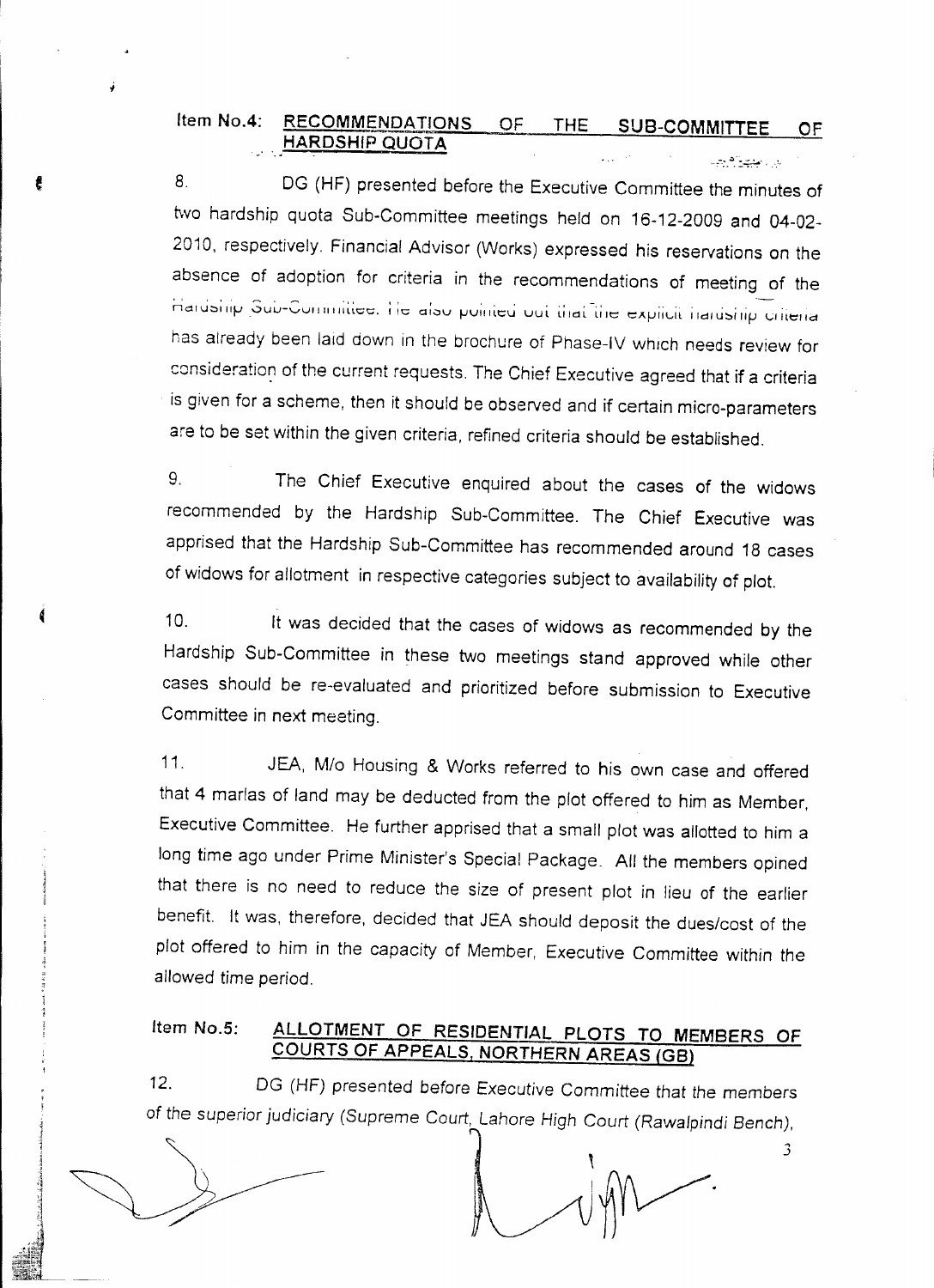#### Item No.4: RECOMMENDATIONS OF THE SUB-COMMITTEE OF HARDSHIP QUOTA  $47.324474$

8. DG (HF) presented before the Executive Committee the minutes of two hardship quota Sub-Committee meetings held on 16-12-2009 and 04-02- 2010, respectively. Financial Advisor (Works) expressed his reservations on the absence of adoption for criteria in the recommendations of meeting of the Hardship Sub-Committee. He also pointed out that the explicit naruship criteri has already been laid down in the brochure of Phase-IV which needs review for consideration of the current requests. The Chief Executive agreed that if a criteria is given for a scheme, then it should be observed and if certain micro-parameters are to be set within the given criteria, refined criteria should be established.

9. The Chief Executive enquired about the cases of the widows recommended by the Hardship Sub-Committee. The Chief Executive was apprised that the Hardship Sub-Committee has recommended around 18 cases of widows for allotment in respective categories subject to availability of plot.

10. It was decided that the cases of widows as recommended by the Hardship Sub-Committee in these two meetings stand approved while other cases should be re-evaluated and prioritized before submission to Executive Committee in next meeting.

11. JEA, M/o Housing & Works referred to his own case and offered that 4 marlas of land may be deducted from the plot offered to him as Member, Executive Committee. He further apprised that a small plot was allotted to him a long time ago under Prime Minister's Special Package. All the members opined that there is no need to reduce the size of present plot in lieu of the earlier benefit. It was, therefore, decided that JEA should deposit the dues/cost of the plot offered to him in the capacity of Member, Executive Committee within the allowed time period.

### Item No.5: ALLOTMENT OF RESIDENTIAL PLOTS TO MEMBERS OF COURTS OF APPEALS, NORTHERN AREAS (GB)

12. DG (HF) presented before Executive Committee that the members of *the* superior judiciary (Supreme Court, Lahore *High* Court *(Rawalpindi Bench),*

..• .J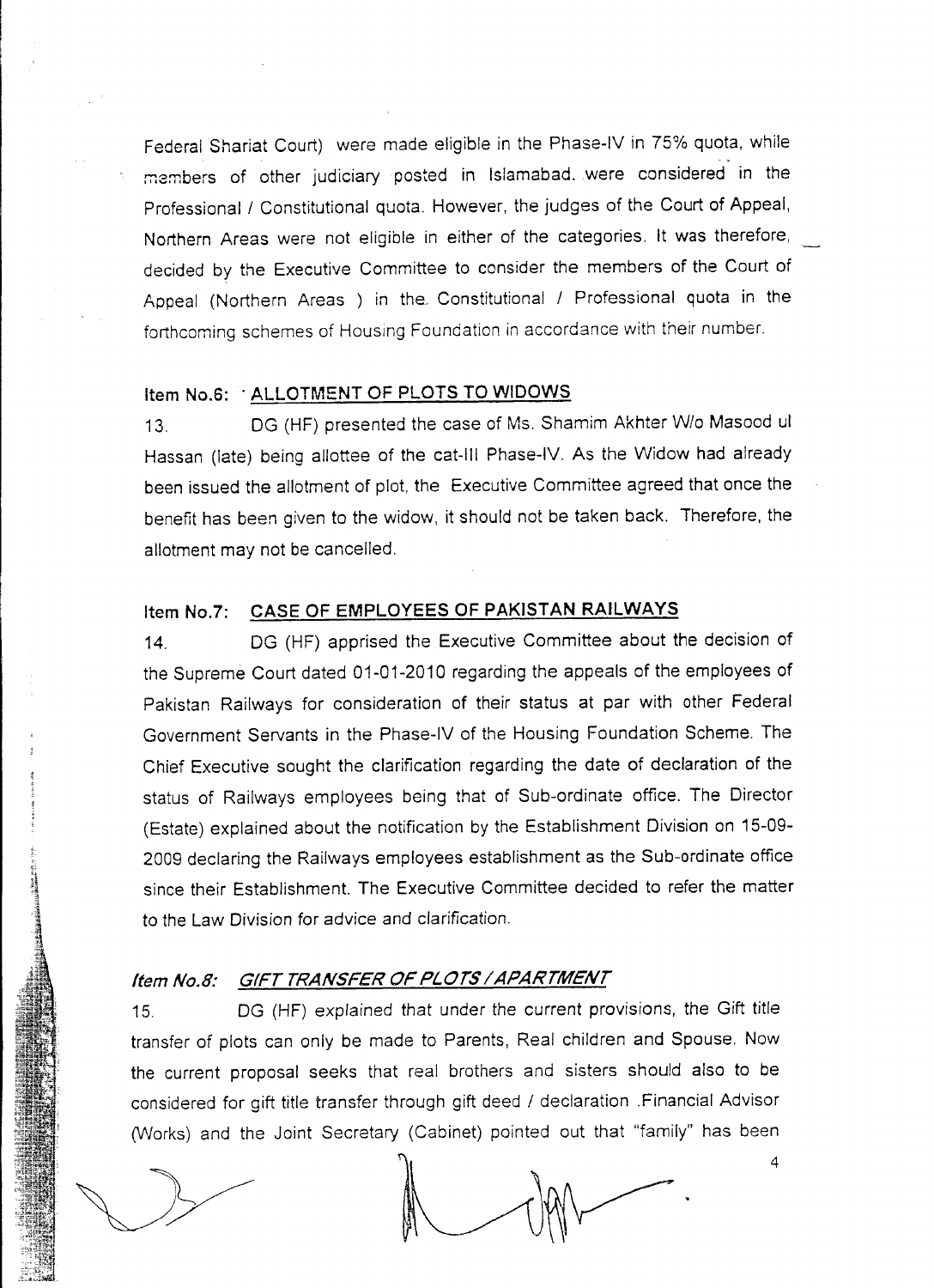Federal Shariat Court) were made eligible in the Phase-IV in 75% quota, while members of other judiciary posted in Islamabad. were considered in the Professional / Constitutional quota. However, the judges of the Court of Appeal, Northern Areas were not eligible in either of the categories. It was therefore, decided by the Executive Committee to consider the members of the Court of Appeal (Northern Areas ) in the Constitutional / Professional quota in the forthcoming schemes of Housing Foundation in accordance with their number.

#### Item No.6: ALLOTMENT OF PLOTS TO WIDOWS

13. DG (HF) presented the case of Ms. Shamim Akhter *Wlo* Masood ul Hassan (late) being allottee of the cat-III Phase-IV. As the Widow had already been issued the allotment of plot, the Executive Committee agreed that once the benefit has been given to the widow, it should not be taken back. Therefore, the allotment may not be cancelled.

#### Item No.7: CASE OF EMPLOYEES OF PAKISTAN RAILWAYS

14. DG (HF) apprised the Executive Committee about the decision of the Supreme Court dated 01-01-2010 regarding the appeals of the employees of Pakistan Railways for consideration of their status at par with other Federal Government Servants in the Phase-IV of the Housing Foundation Scheme. The Chief Executive sought the clarification regarding the date of declaration of the status of Railways employees being that of Sub-ordinate office. The Director (Estate) explained about the notification by the Establishment Division on 15-09- 2009 declaring the Railways employees establishment as the Sub-ordinate office since their Establishment. The Executive Committee decided to refer the matter to the Law Division for advice and clarification.

#### Item No.8: GIFT TRANSFER OF PLOTS / APARTMENT

DG (HF) explained that under the current provisions, the Gift title  $15<sub>1</sub>$ transfer of plots can only be made to Parents, Real children and Spouse. Now the current proposal seeks that real brothers and sisters should also to be considered for gift title transfer through gift deed / declaration .Financial Advisor (Works) and the Joint Secretary (Cabinet) pointed out that "family" has been

 $\overline{4}$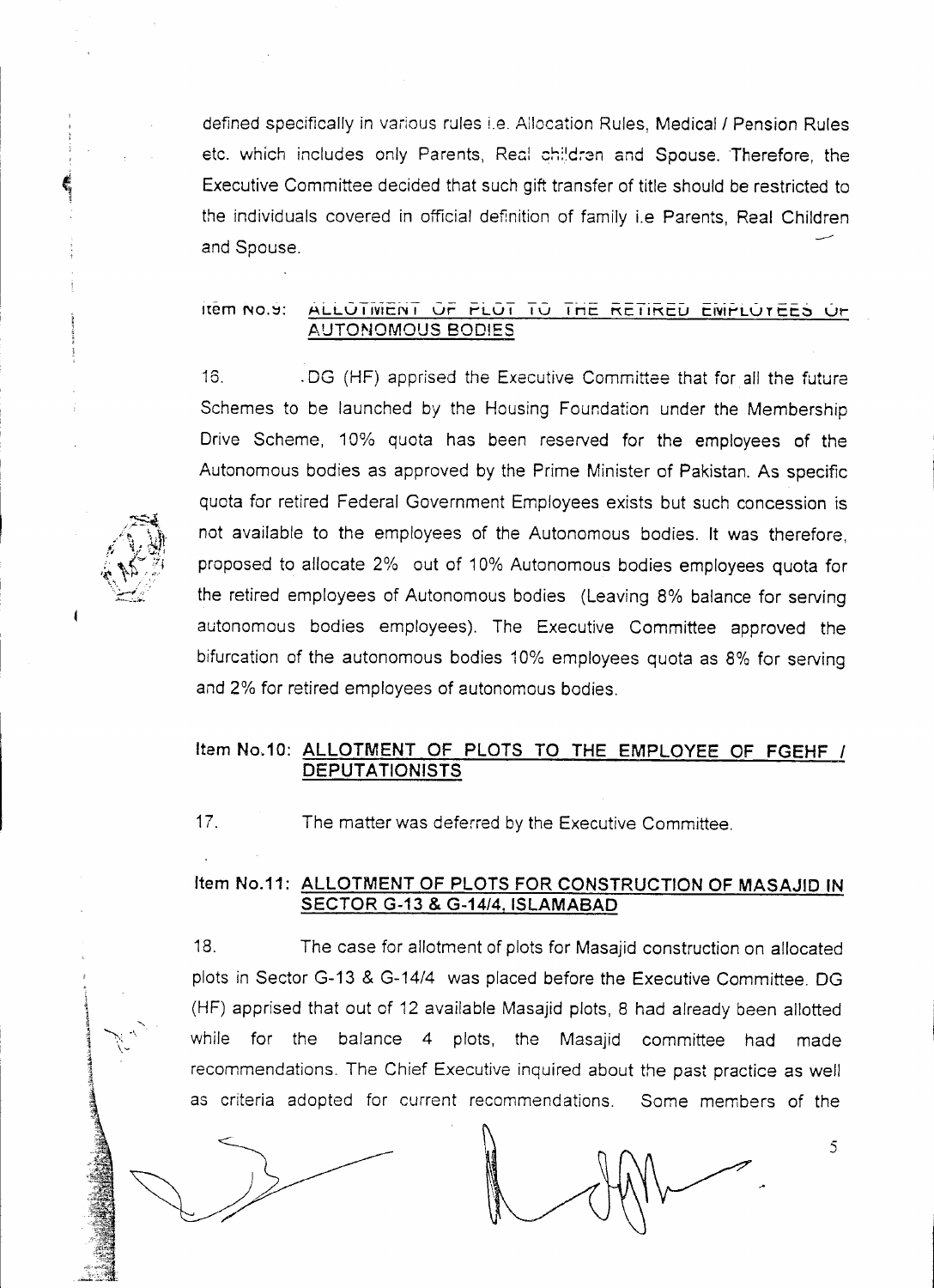defined specifically in various rules i.e. Allocation Rules, Medical / Pension Rules etc. which includes only Parents, Real children and Spouse. Therefore, the Executive Committee decided that such gift transfer of title should be restricted to the individuals covered in official definition of family i.e Parents, Real Children ....-- and Spouse.

# -~ -.- -------- -- ---- ------- --.- - --- Item 1'10.::1: ALLU IIVIt:N I vr I""LU I I V I nt: t'(t: 11t'(t:U t:IVlt"LU Tt:t:;::, Ur AUTONOMOUS BODIES

16. .DG (HF) apprised the Executive Committee that for all the future Schemes to be launched by the Housing Foundation under the Membership Drive Scheme, 10% quota has been reserved for the employees of the Autonomous bodies as approved by the Prime Minister of Pakistan. As specific quota for retired Federal Government Employees exists but such concession is not available to the employees of the Autonomous bodies. It was therefore, proposed to allocate 2% out of 10% Autonomous bodies employees quota for the retired employees of Autonomous bodies (Leaving 8% balance for serving autonomous bodies employees). The Executive Committee approved the bifurcation of the autonomous bodies 10% employees quota as 8% for serving and 2% for retired employees of autonomous bodies.

#### Item NO.10: ALLOTMENT OF PLOTS TO THE EMPLOYEE OF FGEHF *I* DEPUTATIONISTS

17. The matter was deferred by the Executive Committee.

#### Item NO.11: ALLOTMENT OF PLOTS FOR CONSTRUCTION OF MASAJID IN SECTOR G-13 & G-14/4, ISLAMABAD

18. The case for allotment of plots for Masajid construction on allocated plots in Sector G-13 & G-14/4 was placed before the Executive Committee. DG (HF) apprised that out of 12 available Masajid plots, 8 had already been allotted while for the balance 4 plots, the Masajid committee had made recommendations. The Chief Executive inquired about the past practice as well as criteria adopted for current recommendations. Some members of the

5

I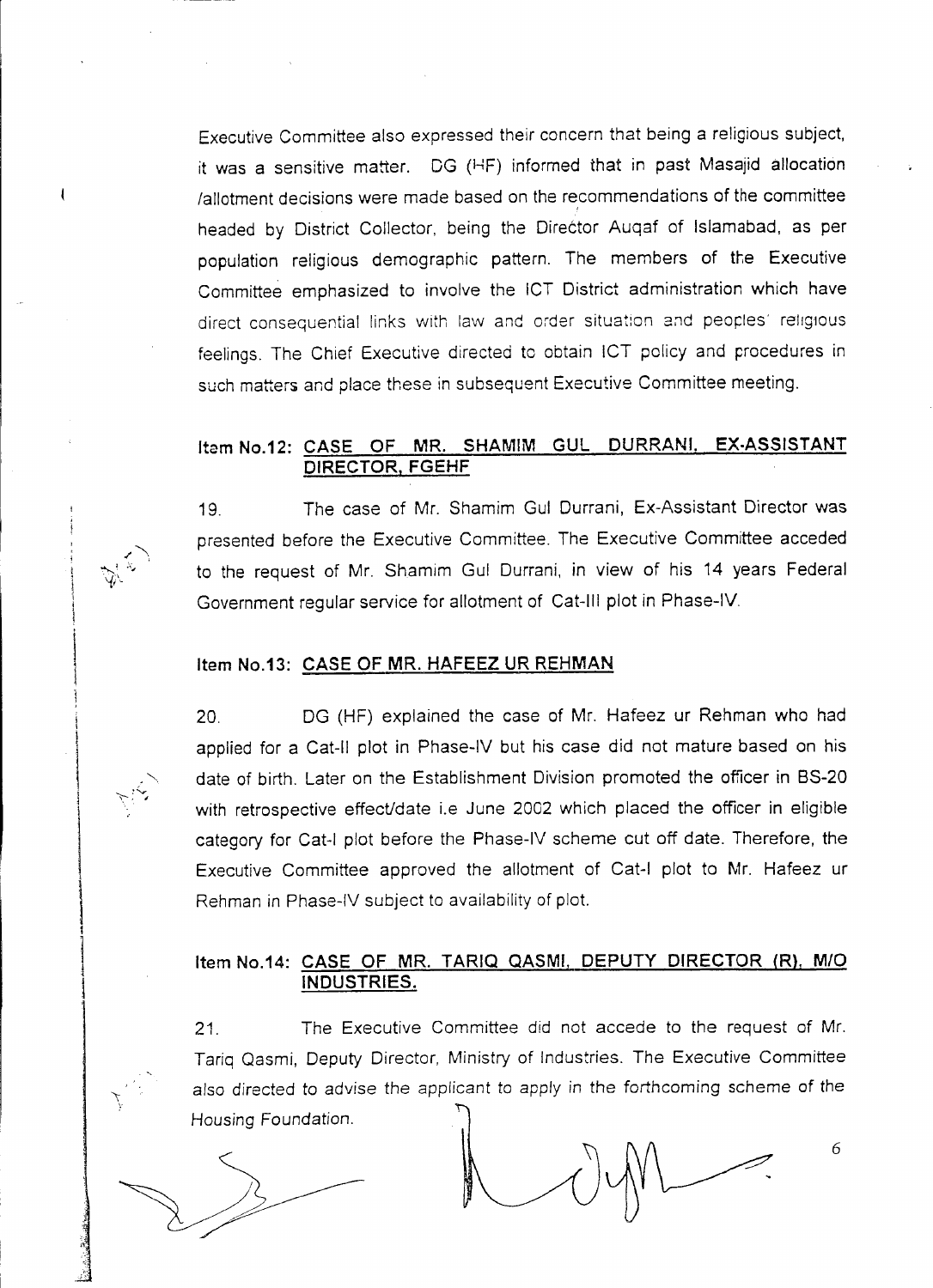Executive Committee also expressed their concern that being a religious subject, it was a sensitive matter. DG (HF) informed that in past Masajid allocation lallotment decisions were made based on the recommendations of the committee headed by District Collector, being the Director Auqaf of Islamabad, as per population religious demographic pattern. The members of the Executive Committee emphasized to involve the ICT District administration which have direct consequential links with law and order situation and peoples' religious feelings. The Chief Executive directed to obtain ICT policy and procedures in such matters and place these in subsequent Executive Committee meeting.

#### Item No.12: CASE OF MR. SHAMIM GUL DURRANI. EX-ASSISTANT DIRECTOR, FGEHF

19. The case of Mr. Shamim Gul Durrani, Ex-Assistant Director was presented before the Executive Committee. The Executive Committee acceded to the request of Mr. Shamim Gul Durrani, in view of his 14 years Federal Government regular service for allotment of Cat-III plot in Phase-IV

#### Item NO.13: CASE OF MR. HAFEEZ UR REHMAN

in the particular and

 $\cdot$   $\cdot$ *~~ ~\'1* '-{i\

\, I

> $\frac{1}{2}$ i<br>I

 $\bf{r}$ .  $\mathcal{L}$ -13

20. DG (HF) explained the case of Mr. Hafeez ur Rehman who had applied for a Cat-II plot in Phase-IV but his case did not mature based on his date of birth. Later on the Establishment Division promoted the officer in BS-20 with retrospective effect/date i.e June 2002 which placed the officer in eligible category for Cat-I plot before the Phase-IV scheme cut off date. Therefore, the Executive Committee approved the allotment of Cat-I plot to Mr. Hafeez ur Rehman in Phase-IV subject to availability of plot.

#### Item NO.14: CASE OF MR. TARIQ QASMI. DEPUTY DIRECTOR (R), *M/O* INDUSTRIES.

21. The Executive Committee did not accede to the request of Mr. Tariq Qasmi, Deputy Director, Ministry of Industries. The Executive Committee also directed to advise the applicant to apply in the forthcoming scheme of the Housing Foundation.

6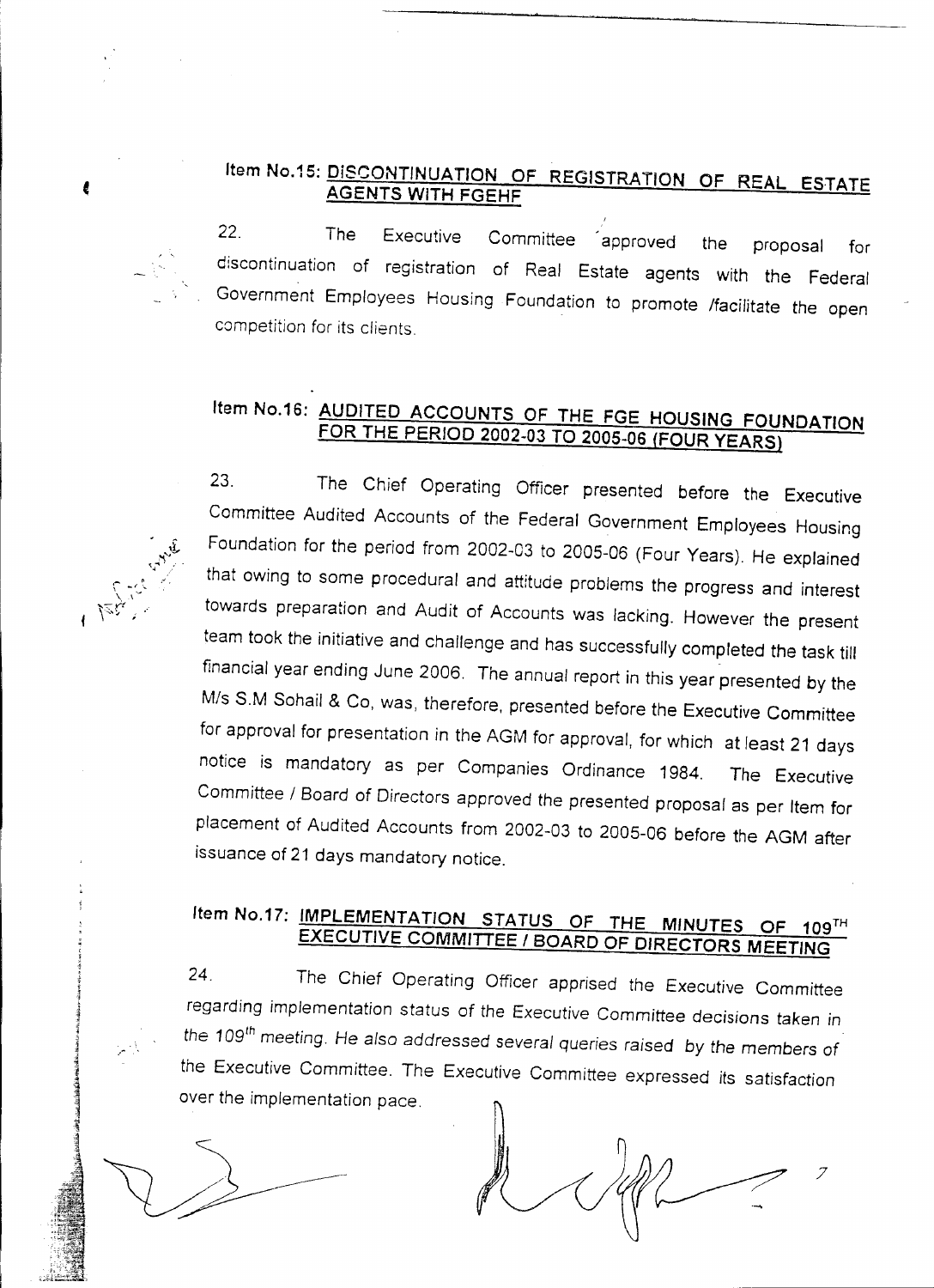## Item No.15: DISCONTINUATION OF REGISTRATION OF REAL ESTATE AGENTS WITH FGEHF

22. The Executive Committee approved the proposal for discontinuation of registration of Real Estate agents with the Federal Government Employees Housing Foundation to promote /facilitate the open competition for its clients.

# Item No.16: AUDITED ACCOUNTS OF THE FGE HOUSING FOUNDATION FOR THE PERIOD 2002-03 TO 2005-06 (FOUR YEARS)

..-

23. The Chief Operating Officer presented before the Executive Committee Audited Accounts of the Federal Government Employees Housing Foundation for the period from 2002-03 to 2005-06 (Four Years). He explained that owing to some procedural and attitude problems the progress and interest towards preparation and Audit of Accounts was lacking. However the present team took the initiative and challenge and has successfully completed the task till financial year ending June 2006. The annual report in this year presented by the *Mis* S.M Sohail & Co, was, therefore, presented before the Executive Committee for approval for presentation in the AGM for approval, for which at least 21 days notice is mandatory as per Companies Ordinance 1984. The Executive *Committee /* Board of Directors approved the presented proposal as per Item for placement of Audited Accounts from 2002-03 to 2005-06 before the AGM after issuance of 21 days mandatory notice.

# Item No.17: IMPLEMENTATION STATUS OF THE MINUTES OF 109TH EXECUTIVE COMMITTEE *<sup>f</sup>* BOARD OF DIRECTORS MEETING

24. The Chief Operating Officer apprised the Executive Committee regarding *implementation* status of *the* Executive *Committee* decisions taken *in the* 109 th *meeting.* He also addressed *several* queries raised by *the* members of the Executive Committee. The Executive Committee expressed its satisfaction over the implementation pace.

7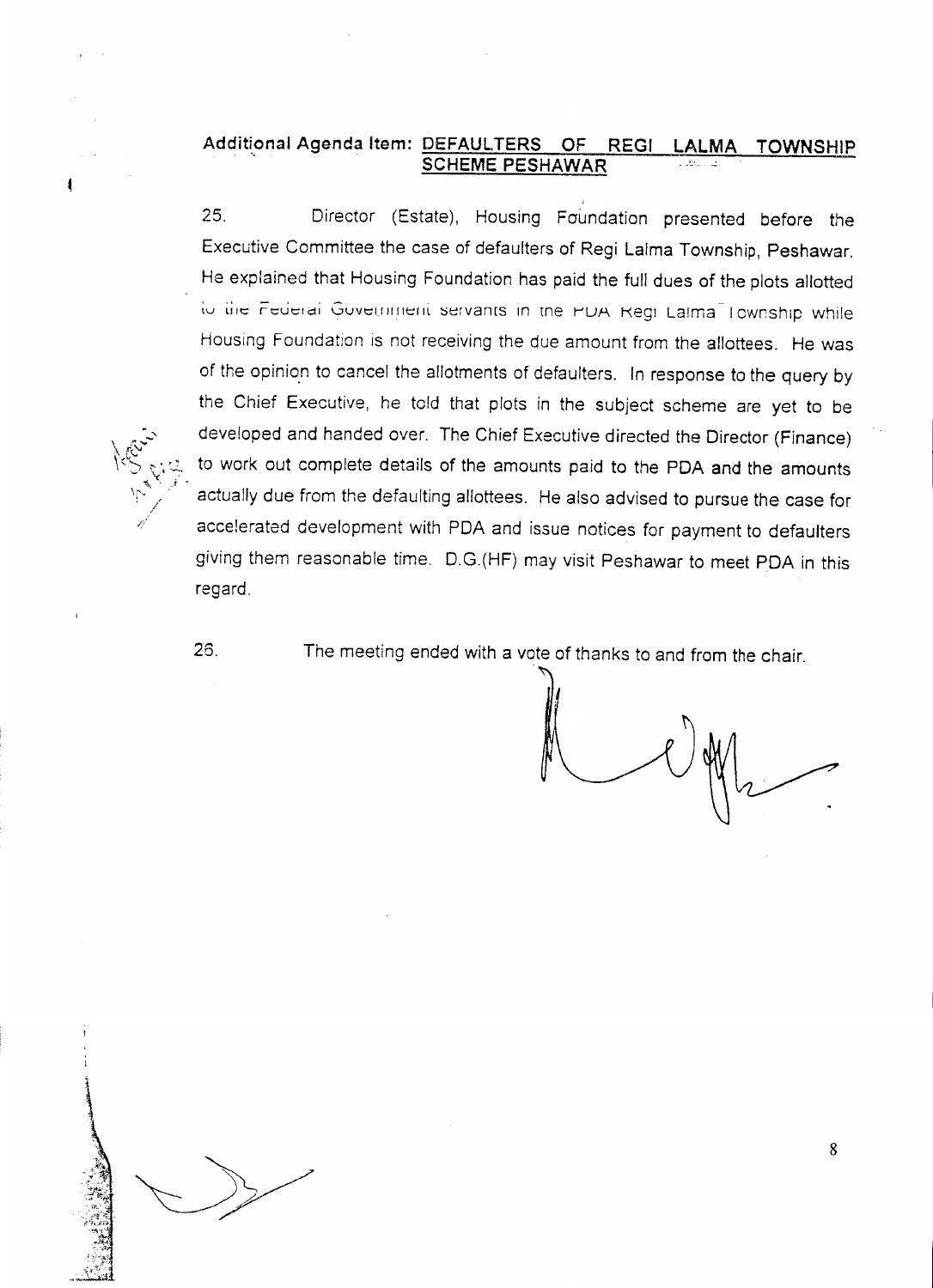#### Additional Agenda Item: DEFAULTERS OF REGI SCHEME PESHAWAR LALMA TOWNSHIP

25. Director (Estate), Housing Foundation presented before the Executive Committee the case of defaulters of Regi Lalma Township, Peshawar. He explained that Housing Foundation has paid the full dues of the plots allotted to the Federal Government servants in the PDA Regi Laima Township while Housing Foundation is not receiving the due amount from the allottees. He was of the opinion to cancel the allotments of defaulters. In response to the query by the Chief Executive, he told that plots in the subject scheme are yet to be developed and handed over. The Chief Executive directed the Director (Finance) to work out complete details of the amounts paid to the PDA and the amounts actually due from the defaulting allottees. He also advised to pursue the case for accelerated development with PDA and issue notices for payment to defaulters giving them reasonable time. D.G.(HF) may visit Peshawar to meet PDA in this regard.

~..

*;" .. 1 •*

*\ i~\J"*

26. The meeting ended with a vote of thanks to and from the chair.

ال<br>إيرانيا  $\overline{\phantom{a}}$ 

8